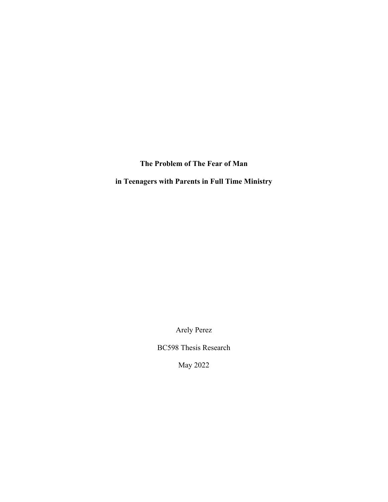**The Problem of The Fear of Man**

**in Teenagers with Parents in Full Time Ministry** 

Arely Perez

BC598 Thesis Research

May 2022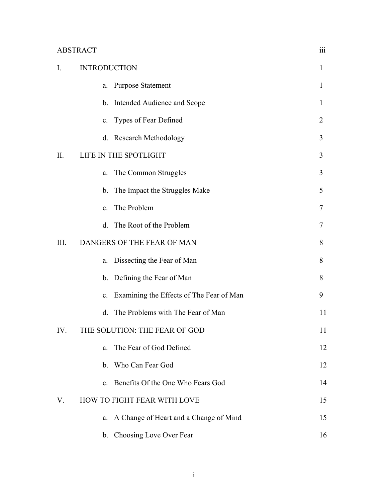| ABSTRACT |  |
|----------|--|
|          |  |
|          |  |

| I.   | <b>INTRODUCTION</b>                            |                |
|------|------------------------------------------------|----------------|
|      | <b>Purpose Statement</b><br>a.                 | 1              |
|      | b. Intended Audience and Scope                 | $\mathbf{I}$   |
|      | c. Types of Fear Defined                       | $\overline{2}$ |
|      | d. Research Methodology                        | 3              |
| II.  | LIFE IN THE SPOTLIGHT                          |                |
|      | The Common Struggles<br>a.                     | 3              |
|      | The Impact the Struggles Make<br>b.            | 5              |
|      | c. The Problem                                 | 7              |
|      | d. The Root of the Problem                     | 7              |
| III. | DANGERS OF THE FEAR OF MAN                     | 8              |
|      | Dissecting the Fear of Man<br>a.               | 8              |
|      | b. Defining the Fear of Man                    | 8              |
|      | Examining the Effects of The Fear of Man<br>c. | 9              |
|      | The Problems with The Fear of Man<br>d.        | 11             |
| IV.  | THE SOLUTION: THE FEAR OF GOD                  | 11             |
|      | The Fear of God Defined<br>a.                  | 12             |
|      | b. Who Can Fear God                            | 12             |
|      | c. Benefits Of the One Who Fears God           | 14             |
| V.   | HOW TO FIGHT FEAR WITH LOVE                    | 15             |
|      | a. A Change of Heart and a Change of Mind      | 15             |
|      | b. Choosing Love Over Fear                     | 16             |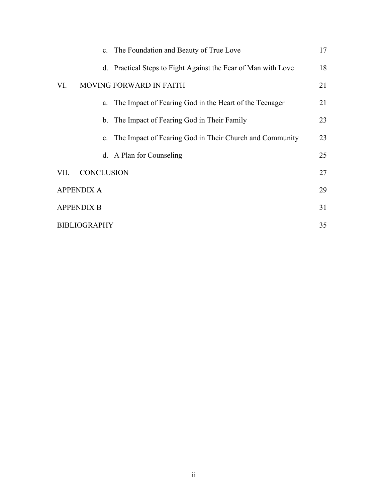| c. The Foundation and Beauty of True Love                     | 17 |
|---------------------------------------------------------------|----|
| d. Practical Steps to Fight Against the Fear of Man with Love | 18 |
| MOVING FORWARD IN FAITH<br>VI.                                | 21 |
| a. The Impact of Fearing God in the Heart of the Teenager     | 21 |
| b. The Impact of Fearing God in Their Family                  | 23 |
| c. The Impact of Fearing God in Their Church and Community    | 23 |
| d. A Plan for Counseling                                      | 25 |
| <b>CONCLUSION</b><br>VII.                                     | 27 |
| <b>APPENDIX A</b>                                             |    |
| <b>APPENDIX B</b>                                             |    |
| <b>BIBLIOGRAPHY</b>                                           |    |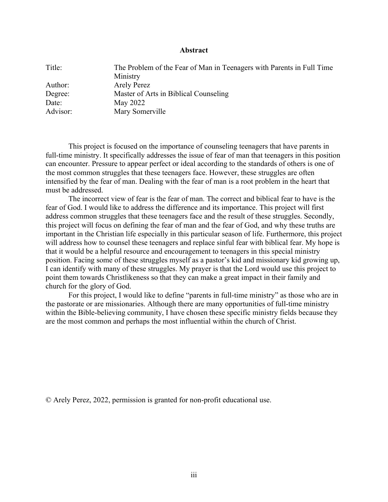### **Abstract**

| Title:   | The Problem of the Fear of Man in Teenagers with Parents in Full Time |
|----------|-----------------------------------------------------------------------|
|          | Ministry                                                              |
| Author:  | <b>Arely Perez</b>                                                    |
| Degree:  | Master of Arts in Biblical Counseling                                 |
| Date:    | May 2022                                                              |
| Advisor: | Mary Somerville                                                       |

This project is focused on the importance of counseling teenagers that have parents in full-time ministry. It specifically addresses the issue of fear of man that teenagers in this position can encounter. Pressure to appear perfect or ideal according to the standards of others is one of the most common struggles that these teenagers face. However, these struggles are often intensified by the fear of man. Dealing with the fear of man is a root problem in the heart that must be addressed.

The incorrect view of fear is the fear of man. The correct and biblical fear to have is the fear of God. I would like to address the difference and its importance. This project will first address common struggles that these teenagers face and the result of these struggles. Secondly, this project will focus on defining the fear of man and the fear of God, and why these truths are important in the Christian life especially in this particular season of life. Furthermore, this project will address how to counsel these teenagers and replace sinful fear with biblical fear. My hope is that it would be a helpful resource and encouragement to teenagers in this special ministry position. Facing some of these struggles myself as a pastor's kid and missionary kid growing up, I can identify with many of these struggles. My prayer is that the Lord would use this project to point them towards Christlikeness so that they can make a great impact in their family and church for the glory of God.

For this project, I would like to define "parents in full-time ministry" as those who are in the pastorate or are missionaries. Although there are many opportunities of full-time ministry within the Bible-believing community, I have chosen these specific ministry fields because they are the most common and perhaps the most influential within the church of Christ.

© Arely Perez, 2022, permission is granted for non-profit educational use.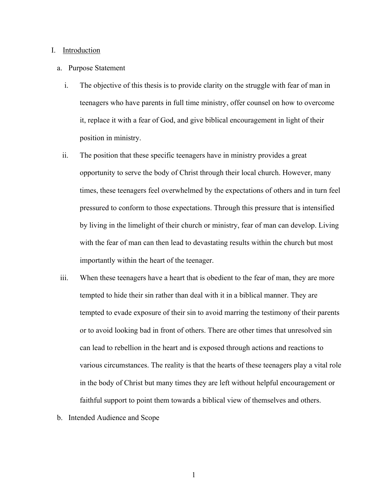### I. Introduction

### a. Purpose Statement

- i. The objective of this thesis is to provide clarity on the struggle with fear of man in teenagers who have parents in full time ministry, offer counsel on how to overcome it, replace it with a fear of God, and give biblical encouragement in light of their position in ministry.
- ii. The position that these specific teenagers have in ministry provides a great opportunity to serve the body of Christ through their local church. However, many times, these teenagers feel overwhelmed by the expectations of others and in turn feel pressured to conform to those expectations. Through this pressure that is intensified by living in the limelight of their church or ministry, fear of man can develop. Living with the fear of man can then lead to devastating results within the church but most importantly within the heart of the teenager.
- iii. When these teenagers have a heart that is obedient to the fear of man, they are more tempted to hide their sin rather than deal with it in a biblical manner. They are tempted to evade exposure of their sin to avoid marring the testimony of their parents or to avoid looking bad in front of others. There are other times that unresolved sin can lead to rebellion in the heart and is exposed through actions and reactions to various circumstances. The reality is that the hearts of these teenagers play a vital role in the body of Christ but many times they are left without helpful encouragement or faithful support to point them towards a biblical view of themselves and others.
- b. Intended Audience and Scope

1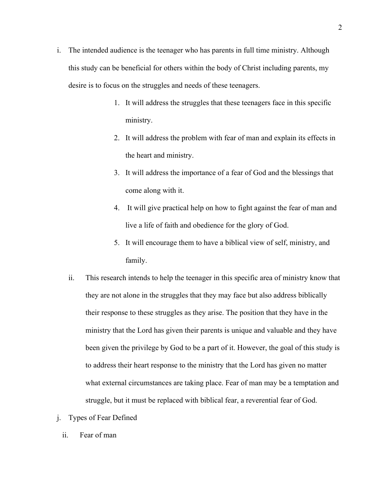- i. The intended audience is the teenager who has parents in full time ministry. Although this study can be beneficial for others within the body of Christ including parents, my desire is to focus on the struggles and needs of these teenagers.
	- 1. It will address the struggles that these teenagers face in this specific ministry.
	- 2. It will address the problem with fear of man and explain its effects in the heart and ministry.
	- 3. It will address the importance of a fear of God and the blessings that come along with it.
	- 4. It will give practical help on how to fight against the fear of man and live a life of faith and obedience for the glory of God.
	- 5. It will encourage them to have a biblical view of self, ministry, and family.
	- ii. This research intends to help the teenager in this specific area of ministry know that they are not alone in the struggles that they may face but also address biblically their response to these struggles as they arise. The position that they have in the ministry that the Lord has given their parents is unique and valuable and they have been given the privilege by God to be a part of it. However, the goal of this study is to address their heart response to the ministry that the Lord has given no matter what external circumstances are taking place. Fear of man may be a temptation and struggle, but it must be replaced with biblical fear, a reverential fear of God.
- j. Types of Fear Defined
	- ii. Fear of man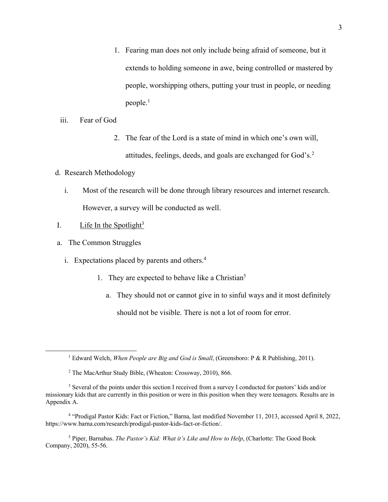- 1. Fearing man does not only include being afraid of someone, but it extends to holding someone in awe, being controlled or mastered by people, worshipping others, putting your trust in people, or needing people.<sup>1</sup>
- iii. Fear of God
	- 2. The fear of the Lord is a state of mind in which one's own will, attitudes, feelings, deeds, and goals are exchanged for God's.2
- d. Research Methodology
	- i. Most of the research will be done through library resources and internet research. However, a survey will be conducted as well.
- I. Life In the Spotlight<sup>3</sup>
- a. The Common Struggles
	- i. Expectations placed by parents and others. 4
		- 1. They are expected to behave like a Christian<sup>5</sup>
			- a. They should not or cannot give in to sinful ways and it most definitely should not be visible. There is not a lot of room for error.

<sup>5</sup> Piper, Barnabas. *The Pastor's Kid: What it's Like and How to Help*, (Charlotte: The Good Book Company, 2020), 55-56.

<sup>1</sup> Edward Welch, *When People are Big and God is Small*, (Greensboro: P & R Publishing, 2011).

<sup>2</sup> The MacArthur Study Bible, (Wheaton: Crossway, 2010), 866.

<sup>&</sup>lt;sup>3</sup> Several of the points under this section I received from a survey I conducted for pastors' kids and/or missionary kids that are currently in this position or were in this position when they were teenagers. Results are in Appendix A.

<sup>4</sup> "Prodigal Pastor Kids: Fact or Fiction," Barna, last modified November 11, 2013, accessed April 8, 2022, https://www.barna.com/research/prodigal-pastor-kids-fact-or-fiction/.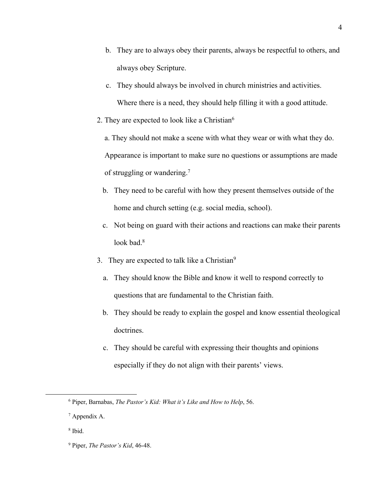- b. They are to always obey their parents, always be respectful to others, and always obey Scripture.
- c. They should always be involved in church ministries and activities. Where there is a need, they should help filling it with a good attitude.
- 2. They are expected to look like a Christian $6$

a. They should not make a scene with what they wear or with what they do. Appearance is important to make sure no questions or assumptions are made of struggling or wandering.7

- b. They need to be careful with how they present themselves outside of the home and church setting (e.g. social media, school).
- c. Not being on guard with their actions and reactions can make their parents look bad.<sup>8</sup>
- 3. They are expected to talk like a Christian<sup>9</sup>
	- a. They should know the Bible and know it well to respond correctly to questions that are fundamental to the Christian faith.
	- b. They should be ready to explain the gospel and know essential theological doctrines.
	- c. They should be careful with expressing their thoughts and opinions especially if they do not align with their parents' views.

<sup>6</sup> Piper, Barnabas, *The Pastor's Kid: What it's Like and How to Help*, 56.

<sup>7</sup> Appendix A.

<sup>8</sup> Ibid.

<sup>9</sup> Piper, *The Pastor's Kid*, 46-48.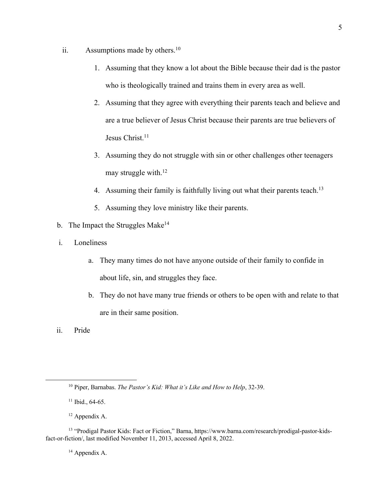- ii. Assumptions made by others. $10$ 
	- 1. Assuming that they know a lot about the Bible because their dad is the pastor who is theologically trained and trains them in every area as well.
	- 2. Assuming that they agree with everything their parents teach and believe and are a true believer of Jesus Christ because their parents are true believers of Jesus Christ.<sup>11</sup>
	- 3. Assuming they do not struggle with sin or other challenges other teenagers may struggle with.<sup>12</sup>
	- 4. Assuming their family is faithfully living out what their parents teach.<sup>13</sup>
	- 5. Assuming they love ministry like their parents.
- b. The Impact the Struggles Make<sup>14</sup>
- i. Loneliness
	- a. They many times do not have anyone outside of their family to confide in about life, sin, and struggles they face.
	- b. They do not have many true friends or others to be open with and relate to that are in their same position.
- ii. Pride

<sup>12</sup> Appendix A.

<sup>10</sup> Piper, Barnabas. *The Pastor's Kid: What it's Like and How to Help*, 32-39.

 $11$  Ibid., 64-65.

<sup>13</sup> "Prodigal Pastor Kids: Fact or Fiction," Barna, https://www.barna.com/research/prodigal-pastor-kidsfact-or-fiction/, last modified November 11, 2013, accessed April 8, 2022.

<sup>&</sup>lt;sup>14</sup> Appendix A.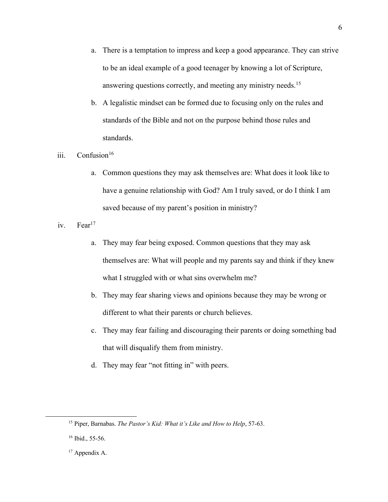- a. There is a temptation to impress and keep a good appearance. They can strive to be an ideal example of a good teenager by knowing a lot of Scripture, answering questions correctly, and meeting any ministry needs.15
- b. A legalistic mindset can be formed due to focusing only on the rules and standards of the Bible and not on the purpose behind those rules and standards.
- iii.  $Confusion<sup>16</sup>$ 
	- a. Common questions they may ask themselves are: What does it look like to have a genuine relationship with God? Am I truly saved, or do I think I am saved because of my parent's position in ministry?
- iv. Fear<sup>17</sup>
	- a. They may fear being exposed. Common questions that they may ask themselves are: What will people and my parents say and think if they knew what I struggled with or what sins overwhelm me?
	- b. They may fear sharing views and opinions because they may be wrong or different to what their parents or church believes.
	- c. They may fear failing and discouraging their parents or doing something bad that will disqualify them from ministry.
	- d. They may fear "not fitting in" with peers.

<sup>17</sup> Appendix A.

<sup>15</sup> Piper, Barnabas. *The Pastor's Kid: What it's Like and How to Help*, 57-63.

<sup>&</sup>lt;sup>16</sup> Ibid., 55-56.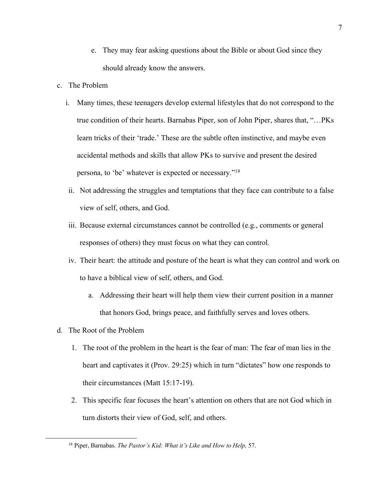- e. They may fear asking questions about the Bible or about God since they should already know the answers.
- c. The Problem
	- i. Many times, these teenagers develop external lifestyles that do not correspond to the true condition of their hearts. Barnabas Piper, son of John Piper, shares that, "…PKs learn tricks of their 'trade.' These are the subtle often instinctive, and maybe even accidental methods and skills that allow PKs to survive and present the desired persona, to 'be' whatever is expected or necessary."18
	- ii. Not addressing the struggles and temptations that they face can contribute to a false view of self, others, and God.
	- iii. Because external circumstances cannot be controlled (e.g., comments or general responses of others) they must focus on what they can control.
	- iv. Their heart: the attitude and posture of the heart is what they can control and work on to have a biblical view of self, others, and God.
		- a. Addressing their heart will help them view their current position in a manner that honors God, brings peace, and faithfully serves and loves others.
- d. The Root of the Problem
	- 1. The root of the problem in the heart is the fear of man: The fear of man lies in the heart and captivates it (Prov. 29:25) which in turn "dictates" how one responds to their circumstances (Matt 15:17-19).
	- 2. This specific fear focuses the heart's attention on others that are not God which in turn distorts their view of God, self, and others.

<sup>18</sup> Piper, Barnabas. *The Pastor's Kid: What it's Like and How to Help,* 57.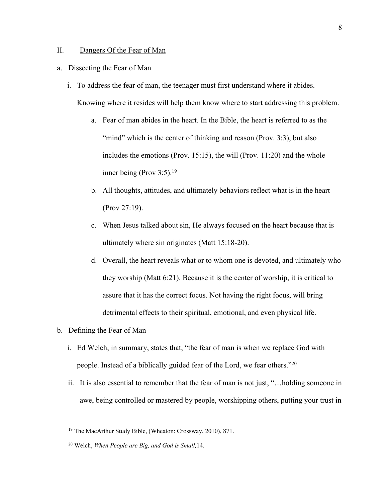### II. Dangers Of the Fear of Man

- a. Dissecting the Fear of Man
	- i. To address the fear of man, the teenager must first understand where it abides. Knowing where it resides will help them know where to start addressing this problem.
		- a. Fear of man abides in the heart. In the Bible, the heart is referred to as the "mind" which is the center of thinking and reason (Prov. 3:3), but also includes the emotions (Prov. 15:15), the will (Prov. 11:20) and the whole inner being (Prov 3:5).19
		- b. All thoughts, attitudes, and ultimately behaviors reflect what is in the heart (Prov 27:19).
		- c. When Jesus talked about sin, He always focused on the heart because that is ultimately where sin originates (Matt 15:18-20).
		- d. Overall, the heart reveals what or to whom one is devoted, and ultimately who they worship (Matt 6:21). Because it is the center of worship, it is critical to assure that it has the correct focus. Not having the right focus, will bring detrimental effects to their spiritual, emotional, and even physical life.
- b. Defining the Fear of Man
	- i. Ed Welch, in summary, states that, "the fear of man is when we replace God with people. Instead of a biblically guided fear of the Lord, we fear others."20
	- ii. It is also essential to remember that the fear of man is not just, "…holding someone in awe, being controlled or mastered by people, worshipping others, putting your trust in

<sup>19</sup> The MacArthur Study Bible, (Wheaton: Crossway, 2010), 871.

<sup>20</sup> Welch, *When People are Big, and God is Small,*14.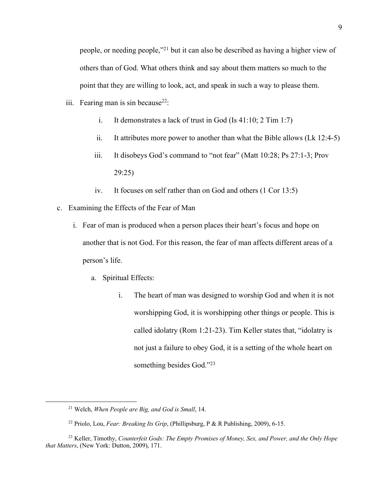people, or needing people,"21 but it can also be described as having a higher view of others than of God. What others think and say about them matters so much to the point that they are willing to look, act, and speak in such a way to please them.

- iii. Fearing man is sin because<sup>22</sup>:
	- i. It demonstrates a lack of trust in God (Is 41:10; 2 Tim 1:7)
	- ii. It attributes more power to another than what the Bible allows (Lk 12:4-5)
	- iii. It disobeys God's command to "not fear" (Matt 10:28; Ps 27:1-3; Prov 29:25)
	- iv. It focuses on self rather than on God and others (1 Cor 13:5)
- c. Examining the Effects of the Fear of Man
	- i. Fear of man is produced when a person places their heart's focus and hope on another that is not God. For this reason, the fear of man affects different areas of a person's life.
		- a. Spiritual Effects:
			- i. The heart of man was designed to worship God and when it is not worshipping God, it is worshipping other things or people. This is called idolatry (Rom 1:21-23). Tim Keller states that, "idolatry is not just a failure to obey God, it is a setting of the whole heart on something besides God."23

<sup>21</sup> Welch, *When People are Big, and God is Small*, 14.

<sup>22</sup> Priolo, Lou, *Fear: Breaking Its Grip*, (Phillipsburg, P & R Publishing, 2009), 6-15.

<sup>23</sup> Keller, Timothy, *Counterfeit Gods: The Empty Promises of Money, Sex, and Power, and the Only Hope that Matters*, (New York: Dutton, 2009), 171.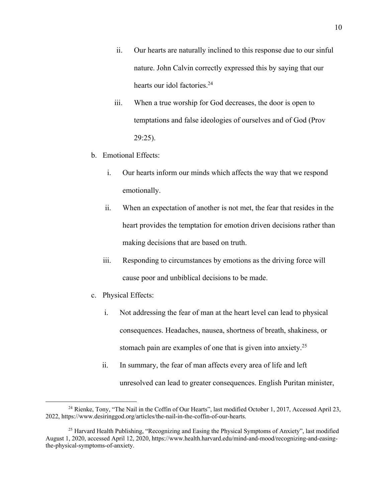- ii. Our hearts are naturally inclined to this response due to our sinful nature. John Calvin correctly expressed this by saying that our hearts our idol factories.<sup>24</sup>
- iii. When a true worship for God decreases, the door is open to temptations and false ideologies of ourselves and of God (Prov 29:25).
- b. Emotional Effects:
	- i. Our hearts inform our minds which affects the way that we respond emotionally.
	- ii. When an expectation of another is not met, the fear that resides in the heart provides the temptation for emotion driven decisions rather than making decisions that are based on truth.
	- iii. Responding to circumstances by emotions as the driving force will cause poor and unbiblical decisions to be made.
- c. Physical Effects:
	- i. Not addressing the fear of man at the heart level can lead to physical consequences. Headaches, nausea, shortness of breath, shakiness, or stomach pain are examples of one that is given into anxiety.<sup>25</sup>
	- ii. In summary, the fear of man affects every area of life and left unresolved can lead to greater consequences. English Puritan minister,

<sup>&</sup>lt;sup>24</sup> Rienke, Tony, "The Nail in the Coffin of Our Hearts", last modified October 1, 2017, Accessed April 23, 2022, https://www.desiringgod.org/articles/the-nail-in-the-coffin-of-our-hearts.

<sup>&</sup>lt;sup>25</sup> Harvard Health Publishing, "Recognizing and Easing the Physical Symptoms of Anxiety", last modified August 1, 2020, accessed April 12, 2020, https://www.health.harvard.edu/mind-and-mood/recognizing-and-easingthe-physical-symptoms-of-anxiety.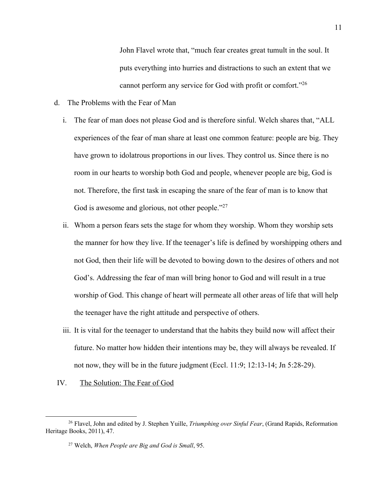John Flavel wrote that, "much fear creates great tumult in the soul. It puts everything into hurries and distractions to such an extent that we cannot perform any service for God with profit or comfort."26

- d. The Problems with the Fear of Man
	- i. The fear of man does not please God and is therefore sinful. Welch shares that, "ALL experiences of the fear of man share at least one common feature: people are big. They have grown to idolatrous proportions in our lives. They control us. Since there is no room in our hearts to worship both God and people, whenever people are big, God is not. Therefore, the first task in escaping the snare of the fear of man is to know that God is awesome and glorious, not other people."<sup>27</sup>
	- ii. Whom a person fears sets the stage for whom they worship. Whom they worship sets the manner for how they live. If the teenager's life is defined by worshipping others and not God, then their life will be devoted to bowing down to the desires of others and not God's. Addressing the fear of man will bring honor to God and will result in a true worship of God. This change of heart will permeate all other areas of life that will help the teenager have the right attitude and perspective of others.
	- iii. It is vital for the teenager to understand that the habits they build now will affect their future. No matter how hidden their intentions may be, they will always be revealed. If not now, they will be in the future judgment (Eccl. 11:9; 12:13-14; Jn 5:28-29).
- IV. The Solution: The Fear of God

<sup>26</sup> Flavel, John and edited by J. Stephen Yuille, *Triumphing over Sinful Fear*, (Grand Rapids, Reformation Heritage Books, 2011), 47.

<sup>27</sup> Welch, *When People are Big and God is Small*, 95.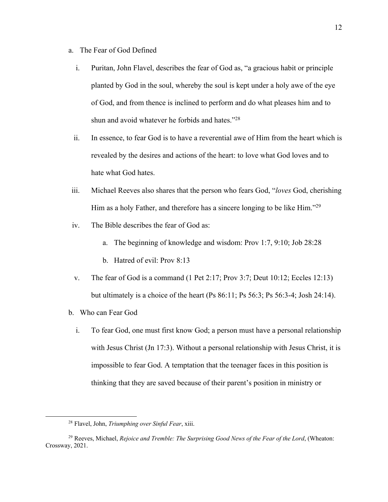- a. The Fear of God Defined
	- i. Puritan, John Flavel, describes the fear of God as, "a gracious habit or principle planted by God in the soul, whereby the soul is kept under a holy awe of the eye of God, and from thence is inclined to perform and do what pleases him and to shun and avoid whatever he forbids and hates."28
	- ii. In essence, to fear God is to have a reverential awe of Him from the heart which is revealed by the desires and actions of the heart: to love what God loves and to hate what God hates.
- iii. Michael Reeves also shares that the person who fears God, "*loves* God, cherishing Him as a holy Father, and therefore has a sincere longing to be like Him."29
- iv. The Bible describes the fear of God as:
	- a. The beginning of knowledge and wisdom: Prov 1:7, 9:10; Job 28:28
	- b. Hatred of evil: Prov 8:13
- v. The fear of God is a command (1 Pet 2:17; Prov 3:7; Deut 10:12; Eccles 12:13) but ultimately is a choice of the heart (Ps 86:11; Ps 56:3; Ps 56:3-4; Josh 24:14).
- b. Who can Fear God
	- i. To fear God, one must first know God; a person must have a personal relationship with Jesus Christ (Jn 17:3). Without a personal relationship with Jesus Christ, it is impossible to fear God. A temptation that the teenager faces in this position is thinking that they are saved because of their parent's position in ministry or

<sup>28</sup> Flavel, John, *Triumphing over Sinful Fear*, xiii.

<sup>29</sup> Reeves, Michael, *Rejoice and Tremble: The Surprising Good News of the Fear of the Lord*, (Wheaton: Crossway, 2021.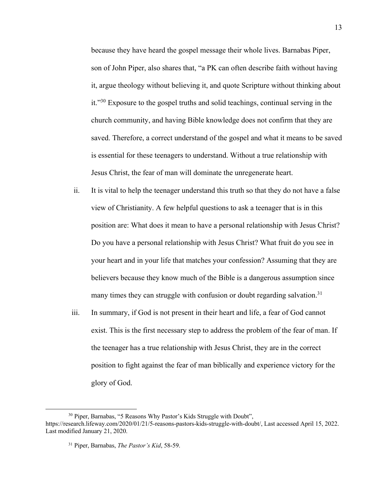because they have heard the gospel message their whole lives. Barnabas Piper, son of John Piper, also shares that, "a PK can often describe faith without having it, argue theology without believing it, and quote Scripture without thinking about it."30 Exposure to the gospel truths and solid teachings, continual serving in the church community, and having Bible knowledge does not confirm that they are saved. Therefore, a correct understand of the gospel and what it means to be saved is essential for these teenagers to understand. Without a true relationship with Jesus Christ, the fear of man will dominate the unregenerate heart.

- ii. It is vital to help the teenager understand this truth so that they do not have a false view of Christianity. A few helpful questions to ask a teenager that is in this position are: What does it mean to have a personal relationship with Jesus Christ? Do you have a personal relationship with Jesus Christ? What fruit do you see in your heart and in your life that matches your confession? Assuming that they are believers because they know much of the Bible is a dangerous assumption since many times they can struggle with confusion or doubt regarding salvation.<sup>31</sup>
- iii. In summary, if God is not present in their heart and life, a fear of God cannot exist. This is the first necessary step to address the problem of the fear of man. If the teenager has a true relationship with Jesus Christ, they are in the correct position to fight against the fear of man biblically and experience victory for the glory of God.

<sup>30</sup> Piper, Barnabas, "5 Reasons Why Pastor's Kids Struggle with Doubt", https://research.lifeway.com/2020/01/21/5-reasons-pastors-kids-struggle-with-doubt/, Last accessed April 15, 2022. Last modified January 21, 2020.

<sup>31</sup> Piper, Barnabas, *The Pastor's Kid*, 58-59.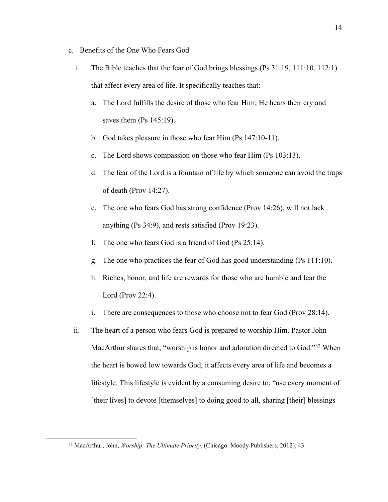- c. Benefits of the One Who Fears God
	- i. The Bible teaches that the fear of God brings blessings (Ps 31:19, 111:10, 112:1) that affect every area of life. It specifically teaches that:
		- a. The Lord fulfills the desire of those who fear Him; He hears their cry and saves them (Ps 145:19).
		- b. God takes pleasure in those who fear Him (Ps 147:10-11).
		- c. The Lord shows compassion on those who fear Him (Ps 103:13).
		- d. The fear of the Lord is a fountain of life by which someone can avoid the traps of death (Prov 14:27).
		- e. The one who fears God has strong confidence (Prov 14:26), will not lack anything (Ps 34:9), and rests satisfied (Prov 19:23).
		- f. The one who fears God is a friend of God (Ps 25:14).
		- g. The one who practices the fear of God has good understanding (Ps 111:10).
		- h. Riches, honor, and life are rewards for those who are humble and fear the Lord (Prov 22:4).
		- i. There are consequences to those who choose not to fear God (Prov 28:14).
	- ii. The heart of a person who fears God is prepared to worship Him. Pastor John MacArthur shares that, "worship is honor and adoration directed to God."<sup>32</sup> When the heart is bowed low towards God, it affects every area of life and becomes a lifestyle. This lifestyle is evident by a consuming desire to, "use every moment of [their lives] to devote [themselves] to doing good to all, sharing [their] blessings

<sup>32</sup> MacArthur, John, *Worship: The Ultimate Priority*, (Chicago: Moody Publishers, 2012), 43.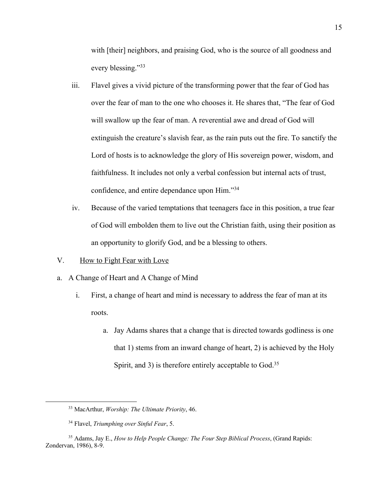with [their] neighbors, and praising God, who is the source of all goodness and every blessing."33

- iii. Flavel gives a vivid picture of the transforming power that the fear of God has over the fear of man to the one who chooses it. He shares that, "The fear of God will swallow up the fear of man. A reverential awe and dread of God will extinguish the creature's slavish fear, as the rain puts out the fire. To sanctify the Lord of hosts is to acknowledge the glory of His sovereign power, wisdom, and faithfulness. It includes not only a verbal confession but internal acts of trust, confidence, and entire dependance upon Him."34
- iv. Because of the varied temptations that teenagers face in this position, a true fear of God will embolden them to live out the Christian faith, using their position as an opportunity to glorify God, and be a blessing to others.
- V. How to Fight Fear with Love
- a. A Change of Heart and A Change of Mind
	- i. First, a change of heart and mind is necessary to address the fear of man at its roots.
		- a. Jay Adams shares that a change that is directed towards godliness is one that 1) stems from an inward change of heart, 2) is achieved by the Holy Spirit, and 3) is therefore entirely acceptable to God.<sup>35</sup>

<sup>33</sup> MacArthur, *Worship: The Ultimate Priority*, 46.

<sup>34</sup> Flavel, *Triumphing over Sinful Fear*, 5.

<sup>35</sup> Adams, Jay E., *How to Help People Change: The Four Step Biblical Process*, (Grand Rapids: Zondervan, 1986), 8-9.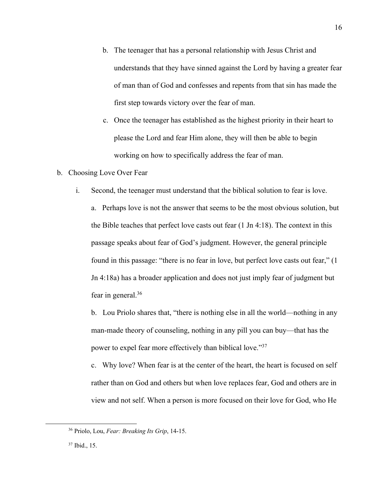- b. The teenager that has a personal relationship with Jesus Christ and understands that they have sinned against the Lord by having a greater fear of man than of God and confesses and repents from that sin has made the first step towards victory over the fear of man.
- c. Once the teenager has established as the highest priority in their heart to please the Lord and fear Him alone, they will then be able to begin working on how to specifically address the fear of man.
- b. Choosing Love Over Fear
	- i. Second, the teenager must understand that the biblical solution to fear is love.

a. Perhaps love is not the answer that seems to be the most obvious solution, but the Bible teaches that perfect love casts out fear  $(1 \text{ In } 4:18)$ . The context in this passage speaks about fear of God's judgment. However, the general principle found in this passage: "there is no fear in love, but perfect love casts out fear," (1 Jn 4:18a) has a broader application and does not just imply fear of judgment but fear in general.36

b. Lou Priolo shares that, "there is nothing else in all the world—nothing in any man-made theory of counseling, nothing in any pill you can buy—that has the power to expel fear more effectively than biblical love."37

c. Why love? When fear is at the center of the heart, the heart is focused on self rather than on God and others but when love replaces fear, God and others are in view and not self. When a person is more focused on their love for God, who He

<sup>36</sup> Priolo, Lou, *Fear: Breaking Its Grip*, 14-15.

<sup>37</sup> Ibid., 15.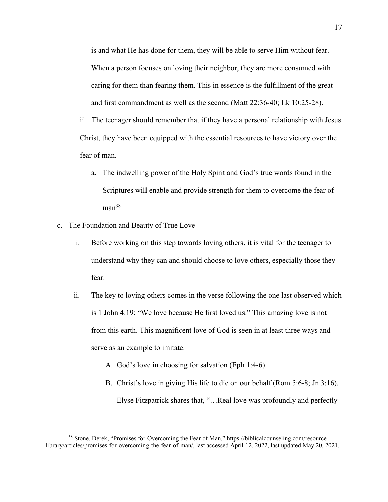is and what He has done for them, they will be able to serve Him without fear. When a person focuses on loving their neighbor, they are more consumed with caring for them than fearing them. This in essence is the fulfillment of the great and first commandment as well as the second (Matt 22:36-40; Lk 10:25-28).

ii. The teenager should remember that if they have a personal relationship with Jesus Christ, they have been equipped with the essential resources to have victory over the fear of man.

- a. The indwelling power of the Holy Spirit and God's true words found in the Scriptures will enable and provide strength for them to overcome the fear of man<sup>38</sup>
- c. The Foundation and Beauty of True Love
	- i. Before working on this step towards loving others, it is vital for the teenager to understand why they can and should choose to love others, especially those they fear.
	- ii. The key to loving others comes in the verse following the one last observed which is 1 John 4:19: "We love because He first loved us." This amazing love is not from this earth. This magnificent love of God is seen in at least three ways and serve as an example to imitate.
		- A. God's love in choosing for salvation (Eph 1:4-6).
		- B. Christ's love in giving His life to die on our behalf (Rom 5:6-8; Jn 3:16). Elyse Fitzpatrick shares that, "…Real love was profoundly and perfectly

<sup>38</sup> Stone, Derek, "Promises for Overcoming the Fear of Man," https://biblicalcounseling.com/resourcelibrary/articles/promises-for-overcoming-the-fear-of-man/, last accessed April 12, 2022, last updated May 20, 2021.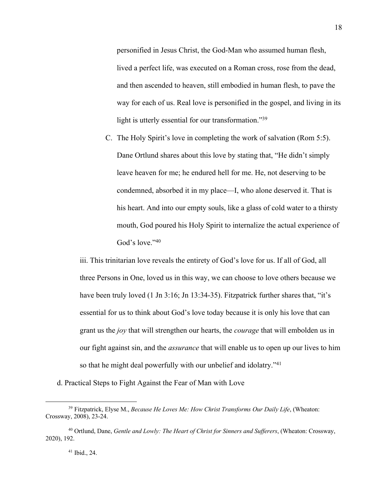personified in Jesus Christ, the God-Man who assumed human flesh, lived a perfect life, was executed on a Roman cross, rose from the dead, and then ascended to heaven, still embodied in human flesh, to pave the way for each of us. Real love is personified in the gospel, and living in its light is utterly essential for our transformation."39

C. The Holy Spirit's love in completing the work of salvation (Rom 5:5). Dane Ortlund shares about this love by stating that, "He didn't simply leave heaven for me; he endured hell for me. He, not deserving to be condemned, absorbed it in my place—I, who alone deserved it. That is his heart. And into our empty souls, like a glass of cold water to a thirsty mouth, God poured his Holy Spirit to internalize the actual experience of God's love."<sup>40</sup>

iii. This trinitarian love reveals the entirety of God's love for us. If all of God, all three Persons in One, loved us in this way, we can choose to love others because we have been truly loved (1 Jn 3:16; Jn 13:34-35). Fitzpatrick further shares that, "it's essential for us to think about God's love today because it is only his love that can grant us the *joy* that will strengthen our hearts, the *courage* that will embolden us in our fight against sin, and the *assurance* that will enable us to open up our lives to him so that he might deal powerfully with our unbelief and idolatry."<sup>41</sup>

d. Practical Steps to Fight Against the Fear of Man with Love

#### <sup>41</sup> Ibid., 24.

<sup>39</sup> Fitzpatrick, Elyse M., *Because He Loves Me: How Christ Transforms Our Daily Life*, (Wheaton: Crossway, 2008), 23-24.

<sup>40</sup> Ortlund, Dane, *Gentle and Lowly: The Heart of Christ for Sinners and Sufferers*, (Wheaton: Crossway, 2020), 192.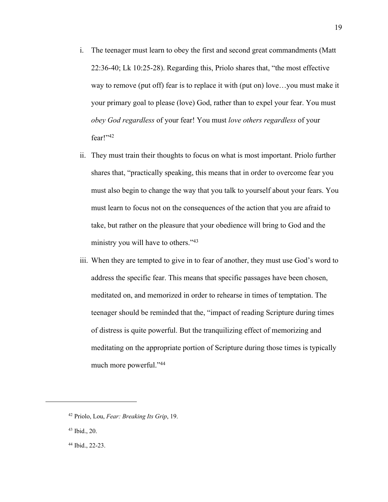- i. The teenager must learn to obey the first and second great commandments (Matt 22:36-40; Lk 10:25-28). Regarding this, Priolo shares that, "the most effective way to remove (put off) fear is to replace it with (put on) love…you must make it your primary goal to please (love) God, rather than to expel your fear. You must *obey God regardless* of your fear! You must *love others regardless* of your fear!" $42$
- ii. They must train their thoughts to focus on what is most important. Priolo further shares that, "practically speaking, this means that in order to overcome fear you must also begin to change the way that you talk to yourself about your fears. You must learn to focus not on the consequences of the action that you are afraid to take, but rather on the pleasure that your obedience will bring to God and the ministry you will have to others."<sup>43</sup>
- iii. When they are tempted to give in to fear of another, they must use God's word to address the specific fear. This means that specific passages have been chosen, meditated on, and memorized in order to rehearse in times of temptation. The teenager should be reminded that the, "impact of reading Scripture during times of distress is quite powerful. But the tranquilizing effect of memorizing and meditating on the appropriate portion of Scripture during those times is typically much more powerful."44

<sup>42</sup> Priolo, Lou, *Fear: Breaking Its Grip*, 19.

<sup>43</sup> Ibid., 20.

<sup>44</sup> Ibid., 22-23.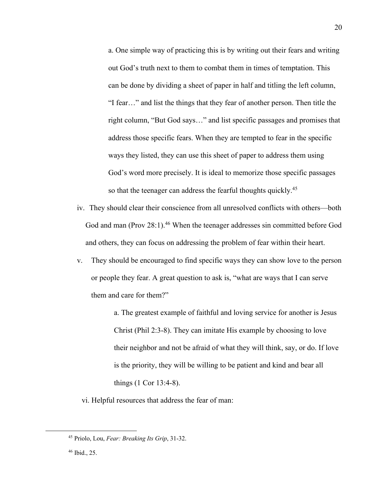a. One simple way of practicing this is by writing out their fears and writing out God's truth next to them to combat them in times of temptation. This can be done by dividing a sheet of paper in half and titling the left column, "I fear…" and list the things that they fear of another person. Then title the right column, "But God says…" and list specific passages and promises that address those specific fears. When they are tempted to fear in the specific ways they listed, they can use this sheet of paper to address them using God's word more precisely. It is ideal to memorize those specific passages so that the teenager can address the fearful thoughts quickly.<sup>45</sup>

- iv. They should clear their conscience from all unresolved conflicts with others—both God and man (Prov 28:1).<sup>46</sup> When the teenager addresses sin committed before God and others, they can focus on addressing the problem of fear within their heart.
- v. They should be encouraged to find specific ways they can show love to the person or people they fear. A great question to ask is, "what are ways that I can serve them and care for them?"

a. The greatest example of faithful and loving service for another is Jesus Christ (Phil 2:3-8). They can imitate His example by choosing to love their neighbor and not be afraid of what they will think, say, or do. If love is the priority, they will be willing to be patient and kind and bear all things (1 Cor 13:4-8).

vi. Helpful resources that address the fear of man:

<sup>45</sup> Priolo, Lou, *Fear: Breaking Its Grip*, 31-32.

<sup>46</sup> Ibid., 25.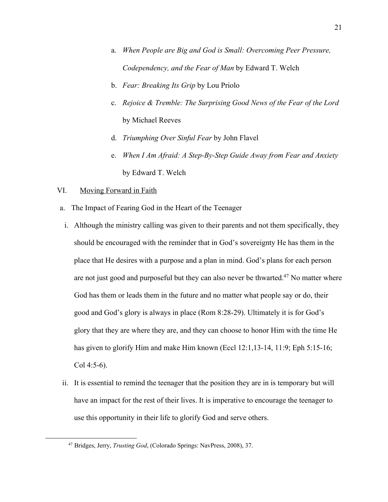- a. *When People are Big and God is Small: Overcoming Peer Pressure, Codependency, and the Fear of Man* by Edward T. Welch
- b. *Fear: Breaking Its Grip* by Lou Priolo
- c. *Rejoice & Tremble: The Surprising Good News of the Fear of the Lord* by Michael Reeves
- d. *Triumphing Over Sinful Fear* by John Flavel
- e. *When I Am Afraid: A Step-By-Step Guide Away from Fear and Anxiety*  by Edward T. Welch

### VI. Moving Forward in Faith

- a. The Impact of Fearing God in the Heart of the Teenager
- i. Although the ministry calling was given to their parents and not them specifically, they should be encouraged with the reminder that in God's sovereignty He has them in the place that He desires with a purpose and a plan in mind. God's plans for each person are not just good and purposeful but they can also never be thwarted.<sup>47</sup> No matter where God has them or leads them in the future and no matter what people say or do, their good and God's glory is always in place (Rom 8:28-29). Ultimately it is for God's glory that they are where they are, and they can choose to honor Him with the time He has given to glorify Him and make Him known (Eccl 12:1,13-14, 11:9; Eph 5:15-16; Col 4:5-6).
- ii. It is essential to remind the teenager that the position they are in is temporary but will have an impact for the rest of their lives. It is imperative to encourage the teenager to use this opportunity in their life to glorify God and serve others.

<sup>47</sup> Bridges, Jerry, *Trusting God*, (Colorado Springs: NavPress, 2008), 37.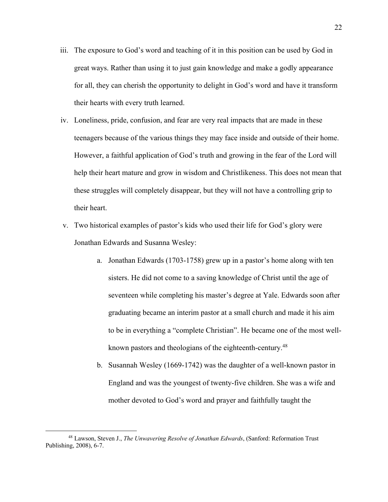- iii. The exposure to God's word and teaching of it in this position can be used by God in great ways. Rather than using it to just gain knowledge and make a godly appearance for all, they can cherish the opportunity to delight in God's word and have it transform their hearts with every truth learned.
- iv. Loneliness, pride, confusion, and fear are very real impacts that are made in these teenagers because of the various things they may face inside and outside of their home. However, a faithful application of God's truth and growing in the fear of the Lord will help their heart mature and grow in wisdom and Christlikeness. This does not mean that these struggles will completely disappear, but they will not have a controlling grip to their heart.
- v. Two historical examples of pastor's kids who used their life for God's glory were Jonathan Edwards and Susanna Wesley:
	- a. Jonathan Edwards (1703-1758) grew up in a pastor's home along with ten sisters. He did not come to a saving knowledge of Christ until the age of seventeen while completing his master's degree at Yale. Edwards soon after graduating became an interim pastor at a small church and made it his aim to be in everything a "complete Christian". He became one of the most wellknown pastors and theologians of the eighteenth-century.<sup>48</sup>
	- b. Susannah Wesley (1669-1742) was the daughter of a well-known pastor in England and was the youngest of twenty-five children. She was a wife and mother devoted to God's word and prayer and faithfully taught the

<sup>48</sup> Lawson, Steven J., *The Unwavering Resolve of Jonathan Edwards*, (Sanford: Reformation Trust Publishing, 2008), 6-7.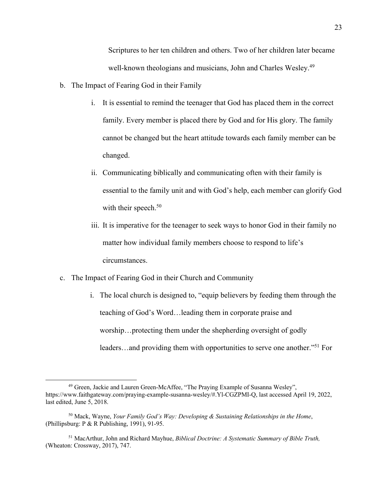Scriptures to her ten children and others. Two of her children later became well-known theologians and musicians, John and Charles Wesley.<sup>49</sup>

- b. The Impact of Fearing God in their Family
	- i. It is essential to remind the teenager that God has placed them in the correct family. Every member is placed there by God and for His glory. The family cannot be changed but the heart attitude towards each family member can be changed.
	- ii. Communicating biblically and communicating often with their family is essential to the family unit and with God's help, each member can glorify God with their speech.<sup>50</sup>
	- iii. It is imperative for the teenager to seek ways to honor God in their family no matter how individual family members choose to respond to life's circumstances.
- c. The Impact of Fearing God in their Church and Community
	- i. The local church is designed to, "equip believers by feeding them through the teaching of God's Word…leading them in corporate praise and worship…protecting them under the shepherding oversight of godly leaders…and providing them with opportunities to serve one another."51 For

<sup>49</sup> Green, Jackie and Lauren Green-McAffee, "The Praying Example of Susanna Wesley", https://www.faithgateway.com/praying-example-susanna-wesley/#.Yl-CGZPMI-Q, last accessed April 19, 2022, last edited, June 5, 2018.

<sup>50</sup> Mack, Wayne, *Your Family God's Way: Developing & Sustaining Relationships in the Home*, (Phillipsburg: P & R Publishing, 1991), 91-95.

<sup>51</sup> MacArthur, John and Richard Mayhue, *Biblical Doctrine: A Systematic Summary of Bible Truth,*  (Wheaton: Crossway, 2017), 747.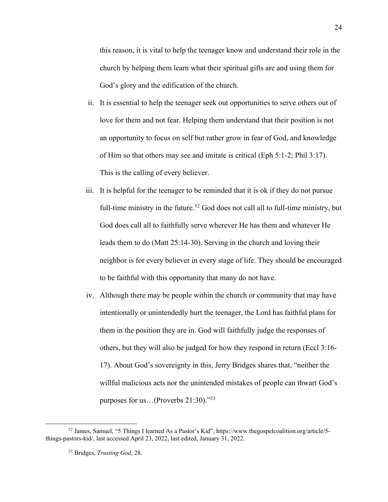this reason, it is vital to help the teenager know and understand their role in the church by helping them learn what their spiritual gifts are and using them for God's glory and the edification of the church.

- ii. It is essential to help the teenager seek out opportunities to serve others out of love for them and not fear. Helping them understand that their position is not an opportunity to focus on self but rather grow in fear of God, and knowledge of Him so that others may see and imitate is critical (Eph 5:1-2; Phil 3:17). This is the calling of every believer.
- iii. It is helpful for the teenager to be reminded that it is ok if they do not pursue full-time ministry in the future.<sup>52</sup> God does not call all to full-time ministry, but God does call all to faithfully serve wherever He has them and whatever He leads them to do (Matt 25:14-30). Serving in the church and loving their neighbor is for every believer in every stage of life. They should be encouraged to be faithful with this opportunity that many do not have.
- iv. Although there may be people within the church or community that may have intentionally or unintendedly hurt the teenager, the Lord has faithful plans for them in the position they are in. God will faithfully judge the responses of others, but they will also be judged for how they respond in return (Eccl 3:16- 17). About God's sovereignty in this, Jerry Bridges shares that, "neither the willful malicious acts nor the unintended mistakes of people can thwart God's purposes for us…(Proverbs 21:30)."53

<sup>52</sup> James, Samuel, "5 Things I learned As a Pastor's Kid", https://www.thegospelcoalition.org/article/5 things-pastors-kid/, last accessed April 23, 2022, last edited, January 31, 2022.

<sup>53</sup> Bridges, *Trusting God*, 28.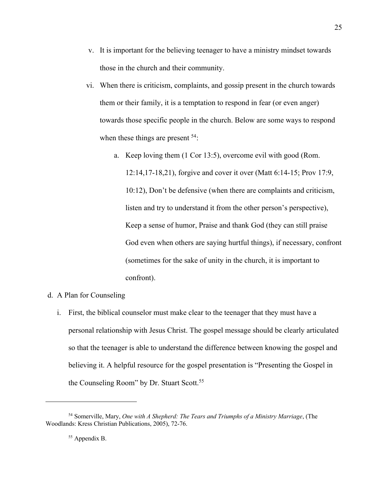- v. It is important for the believing teenager to have a ministry mindset towards those in the church and their community.
- vi. When there is criticism, complaints, and gossip present in the church towards them or their family, it is a temptation to respond in fear (or even anger) towards those specific people in the church. Below are some ways to respond when these things are present <sup>54</sup>:
	- a. Keep loving them (1 Cor 13:5), overcome evil with good (Rom. 12:14,17-18,21), forgive and cover it over (Matt 6:14-15; Prov 17:9, 10:12), Don't be defensive (when there are complaints and criticism, listen and try to understand it from the other person's perspective), Keep a sense of humor, Praise and thank God (they can still praise God even when others are saying hurtful things), if necessary, confront (sometimes for the sake of unity in the church, it is important to confront).
- d. A Plan for Counseling
	- i. First, the biblical counselor must make clear to the teenager that they must have a personal relationship with Jesus Christ. The gospel message should be clearly articulated so that the teenager is able to understand the difference between knowing the gospel and believing it. A helpful resource for the gospel presentation is "Presenting the Gospel in the Counseling Room" by Dr. Stuart Scott.<sup>55</sup>

<sup>54</sup> Somerville, Mary, *One with A Shepherd: The Tears and Triumphs of a Ministry Marriage*, (The Woodlands: Kress Christian Publications, 2005), 72-76.

<sup>55</sup> Appendix B.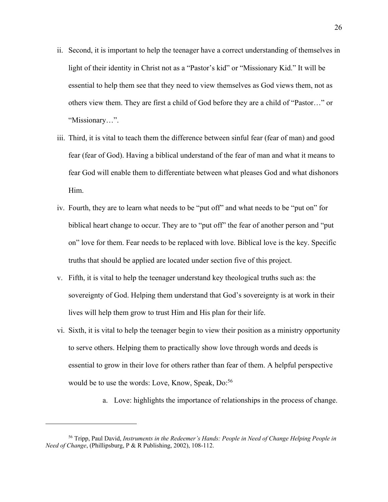- ii. Second, it is important to help the teenager have a correct understanding of themselves in light of their identity in Christ not as a "Pastor's kid" or "Missionary Kid." It will be essential to help them see that they need to view themselves as God views them, not as others view them. They are first a child of God before they are a child of "Pastor…" or "Missionary…".
- iii. Third, it is vital to teach them the difference between sinful fear (fear of man) and good fear (fear of God). Having a biblical understand of the fear of man and what it means to fear God will enable them to differentiate between what pleases God and what dishonors Him.
- iv. Fourth, they are to learn what needs to be "put off" and what needs to be "put on" for biblical heart change to occur. They are to "put off" the fear of another person and "put on" love for them. Fear needs to be replaced with love. Biblical love is the key. Specific truths that should be applied are located under section five of this project.
- v. Fifth, it is vital to help the teenager understand key theological truths such as: the sovereignty of God. Helping them understand that God's sovereignty is at work in their lives will help them grow to trust Him and His plan for their life.
- vi. Sixth, it is vital to help the teenager begin to view their position as a ministry opportunity to serve others. Helping them to practically show love through words and deeds is essential to grow in their love for others rather than fear of them. A helpful perspective would be to use the words: Love, Know, Speak, Do:<sup>56</sup>
	- a. Love: highlights the importance of relationships in the process of change.

<sup>56</sup> Tripp, Paul David, *Instruments in the Redeemer's Hands: People in Need of Change Helping People in Need of Change*, (Phillipsburg, P & R Publishing, 2002), 108-112.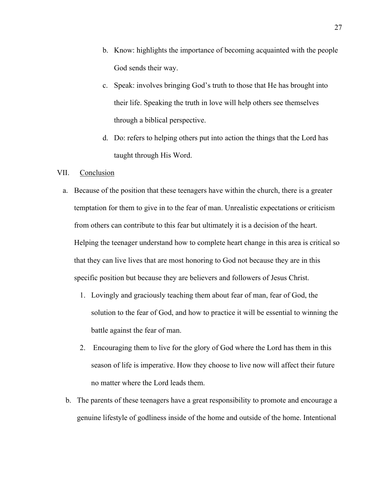- b. Know: highlights the importance of becoming acquainted with the people God sends their way.
- c. Speak: involves bringing God's truth to those that He has brought into their life. Speaking the truth in love will help others see themselves through a biblical perspective.
- d. Do: refers to helping others put into action the things that the Lord has taught through His Word.

### VII. Conclusion

- a. Because of the position that these teenagers have within the church, there is a greater temptation for them to give in to the fear of man. Unrealistic expectations or criticism from others can contribute to this fear but ultimately it is a decision of the heart. Helping the teenager understand how to complete heart change in this area is critical so that they can live lives that are most honoring to God not because they are in this specific position but because they are believers and followers of Jesus Christ.
	- 1. Lovingly and graciously teaching them about fear of man, fear of God, the solution to the fear of God, and how to practice it will be essential to winning the battle against the fear of man.
	- 2. Encouraging them to live for the glory of God where the Lord has them in this season of life is imperative. How they choose to live now will affect their future no matter where the Lord leads them.
- b. The parents of these teenagers have a great responsibility to promote and encourage a genuine lifestyle of godliness inside of the home and outside of the home. Intentional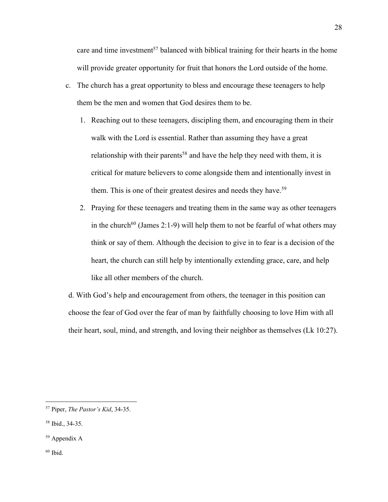care and time investment<sup>57</sup> balanced with biblical training for their hearts in the home will provide greater opportunity for fruit that honors the Lord outside of the home.

- c. The church has a great opportunity to bless and encourage these teenagers to help them be the men and women that God desires them to be.
	- 1. Reaching out to these teenagers, discipling them, and encouraging them in their walk with the Lord is essential. Rather than assuming they have a great relationship with their parents<sup>58</sup> and have the help they need with them, it is critical for mature believers to come alongside them and intentionally invest in them. This is one of their greatest desires and needs they have.<sup>59</sup>
	- 2. Praying for these teenagers and treating them in the same way as other teenagers in the church<sup>60</sup> (James 2:1-9) will help them to not be fearful of what others may think or say of them. Although the decision to give in to fear is a decision of the heart, the church can still help by intentionally extending grace, care, and help like all other members of the church.

d. With God's help and encouragement from others, the teenager in this position can choose the fear of God over the fear of man by faithfully choosing to love Him with all their heart, soul, mind, and strength, and loving their neighbor as themselves (Lk 10:27).

<sup>57</sup> Piper, *The Pastor's Kid*, 34-35.

<sup>58</sup> Ibid., 34-35.

<sup>59</sup> Appendix A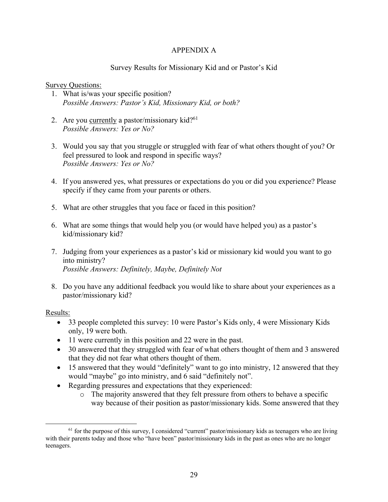## APPENDIX A

# Survey Results for Missionary Kid and or Pastor's Kid

### Survey Questions:

- 1. What is/was your specific position? *Possible Answers: Pastor's Kid, Missionary Kid, or both?*
- 2. Are you currently a pastor/missionary kid? $61$ *Possible Answers: Yes or No?*
- 3. Would you say that you struggle or struggled with fear of what others thought of you? Or feel pressured to look and respond in specific ways? *Possible Answers: Yes or No?*
- 4. If you answered yes, what pressures or expectations do you or did you experience? Please specify if they came from your parents or others.
- 5. What are other struggles that you face or faced in this position?
- 6. What are some things that would help you (or would have helped you) as a pastor's kid/missionary kid?
- 7. Judging from your experiences as a pastor's kid or missionary kid would you want to go into ministry? *Possible Answers: Definitely, Maybe, Definitely Not*
- 8. Do you have any additional feedback you would like to share about your experiences as a pastor/missionary kid?

## Results:

- 33 people completed this survey: 10 were Pastor's Kids only, 4 were Missionary Kids only, 19 were both.
- 11 were currently in this position and 22 were in the past.
- 30 answered that they struggled with fear of what others thought of them and 3 answered that they did not fear what others thought of them.
- 15 answered that they would "definitely" want to go into ministry, 12 answered that they would "maybe" go into ministry, and 6 said "definitely not".
- Regarding pressures and expectations that they experienced:
	- o The majority answered that they felt pressure from others to behave a specific way because of their position as pastor/missionary kids. Some answered that they

<sup>&</sup>lt;sup>61</sup> for the purpose of this survey, I considered "current" pastor/missionary kids as teenagers who are living with their parents today and those who "have been" pastor/missionary kids in the past as ones who are no longer teenagers.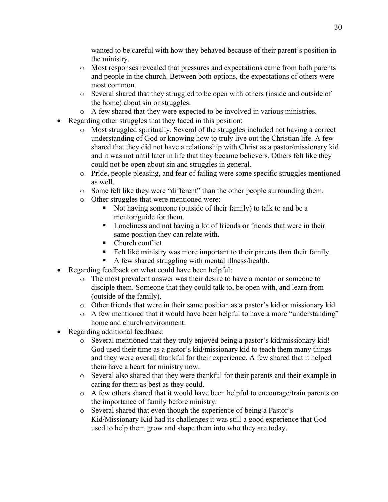wanted to be careful with how they behaved because of their parent's position in the ministry.

- o Most responses revealed that pressures and expectations came from both parents and people in the church. Between both options, the expectations of others were most common.
- o Several shared that they struggled to be open with others (inside and outside of the home) about sin or struggles.
- o A few shared that they were expected to be involved in various ministries.
- Regarding other struggles that they faced in this position:
	- o Most struggled spiritually. Several of the struggles included not having a correct understanding of God or knowing how to truly live out the Christian life. A few shared that they did not have a relationship with Christ as a pastor/missionary kid and it was not until later in life that they became believers. Others felt like they could not be open about sin and struggles in general.
	- o Pride, people pleasing, and fear of failing were some specific struggles mentioned as well.
	- o Some felt like they were "different" than the other people surrounding them.
	- o Other struggles that were mentioned were:
		- § Not having someone (outside of their family) to talk to and be a mentor/guide for them.
		- Loneliness and not having a lot of friends or friends that were in their same position they can relate with.
		- Church conflict
		- Felt like ministry was more important to their parents than their family.
		- § A few shared struggling with mental illness/health.
- Regarding feedback on what could have been helpful:
	- o The most prevalent answer was their desire to have a mentor or someone to disciple them. Someone that they could talk to, be open with, and learn from (outside of the family).
	- o Other friends that were in their same position as a pastor's kid or missionary kid.
	- o A few mentioned that it would have been helpful to have a more "understanding" home and church environment.
- Regarding additional feedback:
	- o Several mentioned that they truly enjoyed being a pastor's kid/missionary kid! God used their time as a pastor's kid/missionary kid to teach them many things and they were overall thankful for their experience. A few shared that it helped them have a heart for ministry now.
	- o Several also shared that they were thankful for their parents and their example in caring for them as best as they could.
	- $\circ$  A few others shared that it would have been helpful to encourage/train parents on the importance of family before ministry.
	- o Several shared that even though the experience of being a Pastor's Kid/Missionary Kid had its challenges it was still a good experience that God used to help them grow and shape them into who they are today.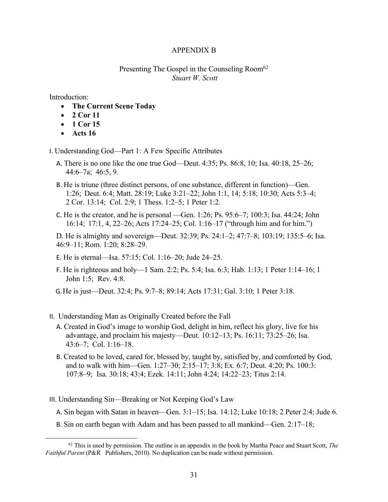### APPENDIX B

### Presenting The Gospel in the Counseling Room<sup>62</sup> *Stuart W. Scott*

Introduction:

- **The Current Scene Today**
- **2 Cor 11**
- **1 Cor 15**
- **Acts 16**

I. Understanding God—Part 1: A Few Specific Attributes

- A. There is no one like the one true God—Deut. 4:35; Ps. 86:8, 10; Isa. 40:18, 25–26; 44:6–7a; 46:5, 9.
- B. He is triune (three distinct persons, of one substance, different in function)—Gen. 1:26; Deut. 6:4; Matt. 28:19; Luke 3:21–22; John 1:1, 14; 5:18; 10:30; Acts 5:3–4; 2 Cor. 13:14; Col. 2:9; 1 Thess. 1:2–5; 1 Peter 1:2.
- C. He is the creator, and he is personal —Gen. 1:26; Ps. 95:6–7; 100:3; Isa. 44:24; John 16:14; 17:1, 4, 22–26; Acts 17:24–25; Col. 1:16–17 ("through him and for him.")

D. He is almighty and sovereign—Deut. 32:39; Ps. 24:1–2; 47:7–8; 103:19; 135:5–6; Isa. 46:9–11; Rom. 1:20; 8:28–29.

- E. He is eternal—Isa. 57:15; Col. 1:16–20; Jude 24–25.
- F. He is righteous and holy—1 Sam. 2:2; Ps. 5:4; Isa. 6:3; Hab. 1:13; 1 Peter 1:14–16; 1 John 1:5; Rev. 4:8.
- G.He is just—Deut. 32:4; Ps. 9:7–8; 89:14; Acts 17:31; Gal. 3:10; 1 Peter 3:18.
- II. Understanding Man as Originally Created before the Fall
	- A. Created in God's image to worship God, delight in him, reflect his glory, live for his advantage, and proclaim his majesty—Deut. 10:12–13; Ps. 16:11; 73:25–26; Isa. 43:6–7; Col. 1:16–18.
	- B. Created to be loved, cared for, blessed by, taught by, satisfied by, and comforted by God, and to walk with him—Gen. 1:27–30; 2:15–17; 3:8; Ex. 6:7; Deut. 4:20; Ps. 100:3: 107:8–9; Isa. 30:18; 43:4; Ezek. 14:11; John 4:24; 14:22–23; Titus 2:14.
- III. Understanding Sin—Breaking or Not Keeping God's Law
	- A. Sin began with Satan in heaven—Gen. 3:1–15; Isa. 14:12; Luke 10:18; 2 Peter 2:4; Jude 6.
	- B. Sin on earth began with Adam and has been passed to all mankind—Gen. 2:17–18;

<sup>62</sup> This is used by permission. The outline is an appendix in the book by Martha Peace and Stuart Scott, *The Faithful Parent* (P&R Publishers, 2010). No duplication can be made without permission.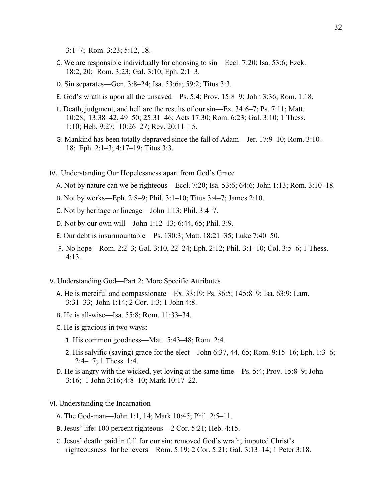3:1–7; Rom. 3:23; 5:12, 18.

- C. We are responsible individually for choosing to sin—Eccl. 7:20; Isa. 53:6; Ezek. 18:2, 20; Rom. 3:23; Gal. 3:10; Eph. 2:1–3.
- D. Sin separates—Gen. 3:8–24; Isa. 53:6a; 59:2; Titus 3:3.
- E. God's wrath is upon all the unsaved—Ps. 5:4; Prov. 15:8–9; John 3:36; Rom. 1:18.
- F. Death, judgment, and hell are the results of our sin—Ex. 34:6–7; Ps. 7:11; Matt. 10:28; 13:38–42, 49–50; 25:31–46; Acts 17:30; Rom. 6:23; Gal. 3:10; 1 Thess. 1:10; Heb. 9:27; 10:26–27; Rev. 20:11–15.
- G. Mankind has been totally depraved since the fall of Adam—Jer. 17:9–10; Rom. 3:10– 18; Eph. 2:1–3; 4:17–19; Titus 3:3.
- IV. Understanding Our Hopelessness apart from God's Grace
	- A. Not by nature can we be righteous—Eccl. 7:20; Isa. 53:6; 64:6; John 1:13; Rom. 3:10–18.
	- B. Not by works—Eph. 2:8–9; Phil. 3:1–10; Titus 3:4–7; James 2:10.
	- C. Not by heritage or lineage—John 1:13; Phil. 3:4–7.
	- D. Not by our own will—John 1:12–13; 6:44, 65; Phil. 3:9.
	- E. Our debt is insurmountable—Ps. 130:3; Matt. 18:21–35; Luke 7:40–50.
	- F. No hope—Rom. 2:2–3; Gal. 3:10, 22–24; Eph. 2:12; Phil. 3:1–10; Col. 3:5–6; 1 Thess. 4:13.
- V. Understanding God—Part 2: More Specific Attributes
	- A. He is merciful and compassionate—Ex. 33:19; Ps. 36:5; 145:8–9; Isa. 63:9; Lam. 3:31–33; John 1:14; 2 Cor. 1:3; 1 John 4:8.
	- B. He is all-wise—Isa. 55:8; Rom. 11:33–34.
	- C. He is gracious in two ways:
		- 1. His common goodness—Matt. 5:43–48; Rom. 2:4.
		- 2. His salvific (saving) grace for the elect—John 6:37, 44, 65; Rom. 9:15–16; Eph. 1:3–6; 2:4– 7; 1 Thess. 1:4.
	- D. He is angry with the wicked, yet loving at the same time—Ps. 5:4; Prov. 15:8–9; John 3:16; 1 John 3:16; 4:8–10; Mark 10:17–22.
- VI. Understanding the Incarnation
	- A. The God-man—John 1:1, 14; Mark 10:45; Phil. 2:5–11.
	- B. Jesus' life: 100 percent righteous—2 Cor. 5:21; Heb. 4:15.
	- C. Jesus' death: paid in full for our sin; removed God's wrath; imputed Christ's righteousness for believers—Rom. 5:19; 2 Cor. 5:21; Gal. 3:13–14; 1 Peter 3:18.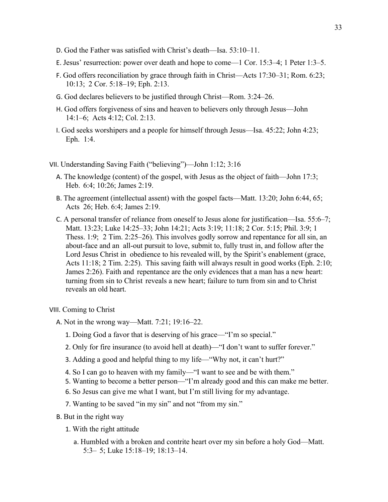- D. God the Father was satisfied with Christ's death—Isa. 53:10–11.
- E. Jesus' resurrection: power over death and hope to come—1 Cor. 15:3–4; 1 Peter 1:3–5.
- F. God offers reconciliation by grace through faith in Christ—Acts 17:30–31; Rom. 6:23; 10:13; 2 Cor. 5:18–19; Eph. 2:13.
- G. God declares believers to be justified through Christ—Rom. 3:24–26.
- H. God offers forgiveness of sins and heaven to believers only through Jesus—John 14:1–6; Acts 4:12; Col. 2:13.
- I. God seeks worshipers and a people for himself through Jesus—Isa. 45:22; John 4:23; Eph. 1:4.
- VII. Understanding Saving Faith ("believing")—John 1:12; 3:16
	- A. The knowledge (content) of the gospel, with Jesus as the object of faith—John 17:3; Heb. 6:4; 10:26; James 2:19.
	- B. The agreement (intellectual assent) with the gospel facts—Matt. 13:20; John 6:44, 65; Acts 26; Heb. 6:4; James 2:19.
	- C. A personal transfer of reliance from oneself to Jesus alone for justification—Isa. 55:6–7; Matt. 13:23; Luke 14:25–33; John 14:21; Acts 3:19; 11:18; 2 Cor. 5:15; Phil. 3:9; 1 Thess. 1:9; 2 Tim. 2:25–26). This involves godly sorrow and repentance for all sin, an about-face and an all-out pursuit to love, submit to, fully trust in, and follow after the Lord Jesus Christ in obedience to his revealed will, by the Spirit's enablement (grace, Acts 11:18; 2 Tim. 2:25). This saving faith will always result in good works (Eph. 2:10; James 2:26). Faith and repentance are the only evidences that a man has a new heart: turning from sin to Christ reveals a new heart; failure to turn from sin and to Christ reveals an old heart.

VIII. Coming to Christ

- A. Not in the wrong way—Matt. 7:21; 19:16–22.
	- 1. Doing God a favor that is deserving of his grace—"I'm so special."
	- 2. Only for fire insurance (to avoid hell at death)—"I don't want to suffer forever."
	- 3. Adding a good and helpful thing to my life—"Why not, it can't hurt?"
	- 4. So I can go to heaven with my family—"I want to see and be with them."
	- 5. Wanting to become a better person—"I'm already good and this can make me better.
	- 6. So Jesus can give me what I want, but I'm still living for my advantage.
	- 7. Wanting to be saved "in my sin" and not "from my sin."
- B. But in the right way
	- 1. With the right attitude
		- a. Humbled with a broken and contrite heart over my sin before a holy God—Matt. 5:3– 5; Luke 15:18–19; 18:13–14.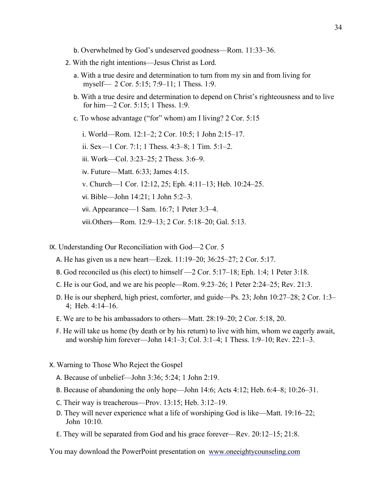- b. Overwhelmed by God's undeserved goodness—Rom. 11:33–36.
- 2. With the right intentions—Jesus Christ as Lord.
	- a. With a true desire and determination to turn from my sin and from living for myself— 2 Cor. 5:15; 7:9–11; 1 Thess. 1:9.
	- b. With a true desire and determination to depend on Christ's righteousness and to live for him—2 Cor. 5:15; 1 Thess. 1:9.
	- c. To whose advantage ("for" whom) am I living? 2 Cor. 5:15
		- i. World—Rom. 12:1–2; 2 Cor. 10:5; 1 John 2:15–17.
		- ii. Sex—1 Cor. 7:1; 1 Thess. 4:3–8; 1 Tim. 5:1–2.
		- iii. Work—Col. 3:23–25; 2 Thess. 3:6–9.
		- iv. Future—Matt. 6:33; James 4:15.
		- v. Church—1 Cor. 12:12, 25; Eph. 4:11–13; Heb. 10:24–25.
		- vi. Bible—John 14:21; 1 John 5:2–3.
		- vii. Appearance—1 Sam. 16:7; 1 Peter 3:3–4.
		- viii.Others—Rom. 12:9–13; 2 Cor. 5:18–20; Gal. 5:13.
- IX. Understanding Our Reconciliation with God—2 Cor. 5
	- A. He has given us a new heart—Ezek. 11:19–20; 36:25–27; 2 Cor. 5:17.
	- B. God reconciled us (his elect) to himself —2 Cor. 5:17–18; Eph. 1:4; 1 Peter 3:18.
	- C. He is our God, and we are his people—Rom. 9:23–26; 1 Peter 2:24–25; Rev. 21:3.
	- D. He is our shepherd, high priest, comforter, and guide—Ps. 23; John 10:27–28; 2 Cor. 1:3– 4; Heb. 4:14–16.
	- E. We are to be his ambassadors to others—Matt. 28:19–20; 2 Cor. 5:18, 20.
	- F. He will take us home (by death or by his return) to live with him, whom we eagerly await, and worship him forever—John 14:1–3; Col. 3:1–4; 1 Thess. 1:9–10; Rev. 22:1–3.
- X. Warning to Those Who Reject the Gospel
	- A. Because of unbelief—John 3:36; 5:24; 1 John 2:19.
	- B. Because of abandoning the only hope—John 14:6; Acts 4:12; Heb. 6:4–8; 10:26–31.
	- C. Their way is treacherous—Prov. 13:15; Heb. 3:12–19.
	- D. They will never experience what a life of worshiping God is like—Matt. 19:16–22; John 10:10.
	- E. They will be separated from God and his grace forever—Rev. 20:12–15; 21:8.

You may download the PowerPoint presentation on www.oneeightycounseling.com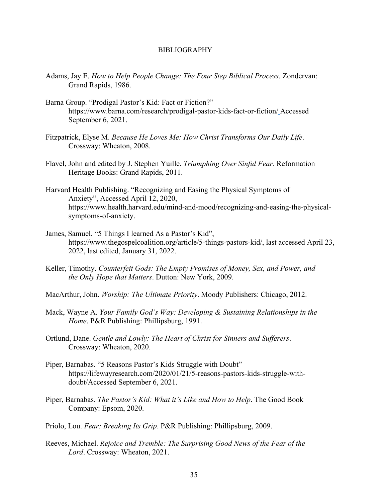#### BIBLIOGRAPHY

- Adams, Jay E. *How to Help People Change: The Four Step Biblical Process*. Zondervan: Grand Rapids, 1986.
- Barna Group. "Prodigal Pastor's Kid: Fact or Fiction?" https://www.barna.com/research/prodigal-pastor-kids-fact-or-fiction/ Accessed September 6, 2021.
- Fitzpatrick, Elyse M. *Because He Loves Me: How Christ Transforms Our Daily Life*. Crossway: Wheaton, 2008.
- Flavel, John and edited by J. Stephen Yuille. *Triumphing Over Sinful Fear*. Reformation Heritage Books: Grand Rapids, 2011.
- Harvard Health Publishing. "Recognizing and Easing the Physical Symptoms of Anxiety", Accessed April 12, 2020, https://www.health.harvard.edu/mind-and-mood/recognizing-and-easing-the-physicalsymptoms-of-anxiety.
- James, Samuel. "5 Things I learned As a Pastor's Kid", https://www.thegospelcoalition.org/article/5-things-pastors-kid/, last accessed April 23, 2022, last edited, January 31, 2022.
- Keller, Timothy. *Counterfeit Gods: The Empty Promises of Money, Sex, and Power, and the Only Hope that Matters*. Dutton: New York, 2009.
- MacArthur, John. *Worship: The Ultimate Priority*. Moody Publishers: Chicago, 2012.
- Mack, Wayne A. *Your Family God's Way: Developing & Sustaining Relationships in the Home*. P&R Publishing: Phillipsburg, 1991.
- Ortlund, Dane. *Gentle and Lowly: The Heart of Christ for Sinners and Sufferers*. Crossway: Wheaton, 2020.
- Piper, Barnabas. "5 Reasons Pastor's Kids Struggle with Doubt" https://lifewayresearch.com/2020/01/21/5-reasons-pastors-kids-struggle-withdoubt/Accessed September 6, 2021.
- Piper, Barnabas. *The Pastor's Kid: What it's Like and How to Help*. The Good Book Company: Epsom, 2020.
- Priolo, Lou. *Fear: Breaking Its Grip*. P&R Publishing: Phillipsburg, 2009.
- Reeves, Michael. *Rejoice and Tremble: The Surprising Good News of the Fear of the Lord*. Crossway: Wheaton, 2021.